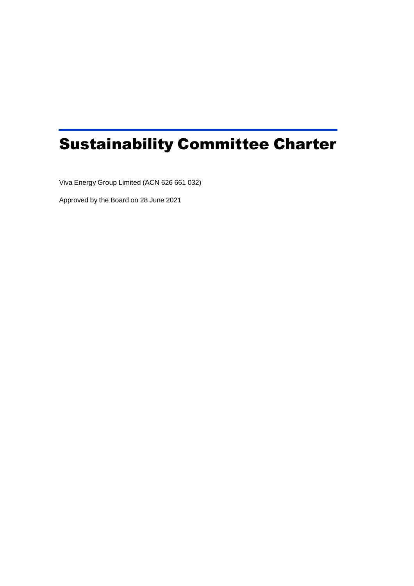# Sustainability Committee Charter

Viva Energy Group Limited (ACN 626 661 032)

Approved by the Board on 28 June 2021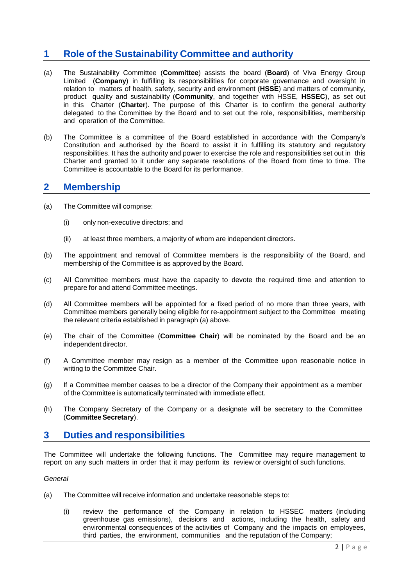# **1 Role of the Sustainability Committee and authority**

- (a) The Sustainability Committee (**Committee**) assists the board (**Board**) of Viva Energy Group Limited (**Company**) in fulfilling its responsibilities for corporate governance and oversight in relation to matters of health, safety, security and environment (**HSSE**) and matters of community, product quality and sustainability (**Community**, and together with HSSE, **HSSEC**), as set out in this Charter (**Charter**). The purpose of this Charter is to confirm the general authority delegated to the Committee by the Board and to set out the role, responsibilities, membership and operation of the Committee.
- (b) The Committee is a committee of the Board established in accordance with the Company's Constitution and authorised by the Board to assist it in fulfilling its statutory and regulatory responsibilities. It has the authority and power to exercise the role and responsibilities set out in this Charter and granted to it under any separate resolutions of the Board from time to time. The Committee is accountable to the Board for its performance.

### **2 Membership**

- (a) The Committee will comprise:
	- (i) only non-executive directors; and
	- (ii) at least three members, a majority of whom are independent directors.
- (b) The appointment and removal of Committee members is the responsibility of the Board, and membership of the Committee is as approved by the Board.
- (c) All Committee members must have the capacity to devote the required time and attention to prepare for and attend Committee meetings.
- (d) All Committee members will be appointed for a fixed period of no more than three years, with Committee members generally being eligible for re-appointment subject to the Committee meeting the relevant criteria established in paragraph (a) above.
- (e) The chair of the Committee (**Committee Chair**) will be nominated by the Board and be an independent director.
- (f) A Committee member may resign as a member of the Committee upon reasonable notice in writing to the Committee Chair.
- (g) If a Committee member ceases to be a director of the Company their appointment as a member of the Committee is automatically terminated with immediate effect.
- (h) The Company Secretary of the Company or a designate will be secretary to the Committee (**CommitteeSecretary**).

## **3 Duties and responsibilities**

The Committee will undertake the following functions. The Committee may require management to report on any such matters in order that it may perform its review or oversight of such functions.

#### *General*

- (a) The Committee will receive information and undertake reasonable steps to:
	- (i) review the performance of the Company in relation to HSSEC matters (including greenhouse gas emissions), decisions and actions, including the health, safety and environmental consequences of the activities of Company and the impacts on employees, third parties, the environment, communities and the reputation of the Company;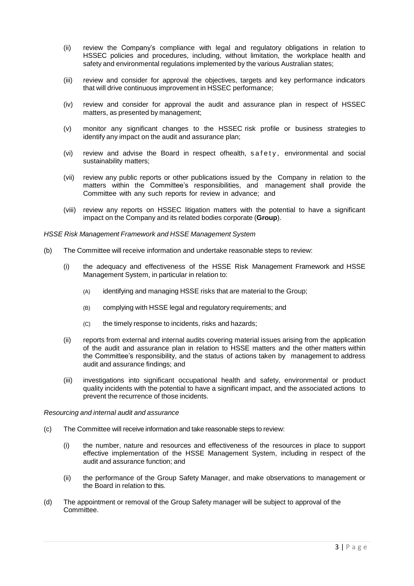- (ii) review the Company's compliance with legal and regulatory obligations in relation to HSSEC policies and procedures, including, without limitation, the workplace health and safety and environmental regulations implemented by the various Australian states;
- (iii) review and consider for approval the objectives, targets and key performance indicators that will drive continuous improvement in HSSEC performance;
- (iv) review and consider for approval the audit and assurance plan in respect of HSSEC matters, as presented by management;
- (v) monitor any significant changes to the HSSEC risk profile or business strategies to identify any impact on the audit and assurance plan;
- $(vi)$  review and advise the Board in respect ofhealth, safety, environmental and social sustainability matters;
- (vii) review any public reports or other publications issued by the Company in relation to the matters within the Committee's responsibilities, and management shall provide the Committee with any such reports for review in advance; and
- (viii) review any reports on HSSEC litigation matters with the potential to have a significant impact on the Company and its related bodies corporate (**Group**).

#### *HSSE Risk Management Framework and HSSE Management System*

- (b) The Committee will receive information and undertake reasonable steps to review:
	- (i) the adequacy and effectiveness of the HSSE Risk Management Framework and HSSE Management System, in particular in relation to:
		- (A) identifying and managing HSSE risks that are material to the Group;
		- (B) complying with HSSE legal and regulatory requirements; and
		- (C) the timely response to incidents, risks and hazards;
	- (ii) reports from external and internal audits covering material issues arising from the application of the audit and assurance plan in relation to HSSE matters and the other matters within the Committee's responsibility, and the status of actions taken by management to address audit and assurance findings; and
	- (iii) investigations into significant occupational health and safety, environmental or product quality incidents with the potential to have a significant impact, and the associated actions to prevent the recurrence of those incidents.

#### *Resourcing and internal audit and assurance*

- (c) The Committee will receive information and take reasonable steps to review:
	- (i) the number, nature and resources and effectiveness of the resources in place to support effective implementation of the HSSE Management System, including in respect of the audit and assurance function; and
	- (ii) the performance of the Group Safety Manager, and make observations to management or the Board in relation to this.
- (d) The appointment or removal of the Group Safety manager will be subject to approval of the Committee.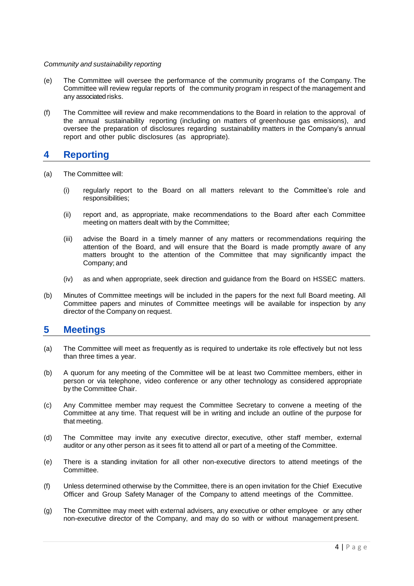#### *Community and sustainability reporting*

- (e) The Committee will oversee the performance of the community programs of the Company. The Committee will review regular reports of the community program in respect of the management and any associated risks.
- (f) The Committee will review and make recommendations to the Board in relation to the approval of the annual sustainability reporting (including on matters of greenhouse gas emissions), and oversee the preparation of disclosures regarding sustainability matters in the Company's annual report and other public disclosures (as appropriate).

## **4 Reporting**

- (a) The Committee will:
	- (i) regularly report to the Board on all matters relevant to the Committee's role and responsibilities;
	- (ii) report and, as appropriate, make recommendations to the Board after each Committee meeting on matters dealt with by the Committee;
	- (iii) advise the Board in a timely manner of any matters or recommendations requiring the attention of the Board, and will ensure that the Board is made promptly aware of any matters brought to the attention of the Committee that may significantly impact the Company; and
	- (iv) as and when appropriate, seek direction and guidance from the Board on HSSEC matters.
- (b) Minutes of Committee meetings will be included in the papers for the next full Board meeting. All Committee papers and minutes of Committee meetings will be available for inspection by any director of the Company on request.

## **5 Meetings**

- (a) The Committee will meet as frequently as is required to undertake its role effectively but not less than three times a year.
- (b) A quorum for any meeting of the Committee will be at least two Committee members, either in person or via telephone, video conference or any other technology as considered appropriate by the Committee Chair.
- (c) Any Committee member may request the Committee Secretary to convene a meeting of the Committee at any time. That request will be in writing and include an outline of the purpose for that meeting.
- (d) The Committee may invite any executive director, executive, other staff member, external auditor or any other person as it sees fit to attend all or part of a meeting of the Committee.
- (e) There is a standing invitation for all other non-executive directors to attend meetings of the Committee.
- (f) Unless determined otherwise by the Committee, there is an open invitation for the Chief Executive Officer and Group Safety Manager of the Company to attend meetings of the Committee.
- (g) The Committee may meet with external advisers, any executive or other employee or any other non-executive director of the Company, and may do so with or without management present.